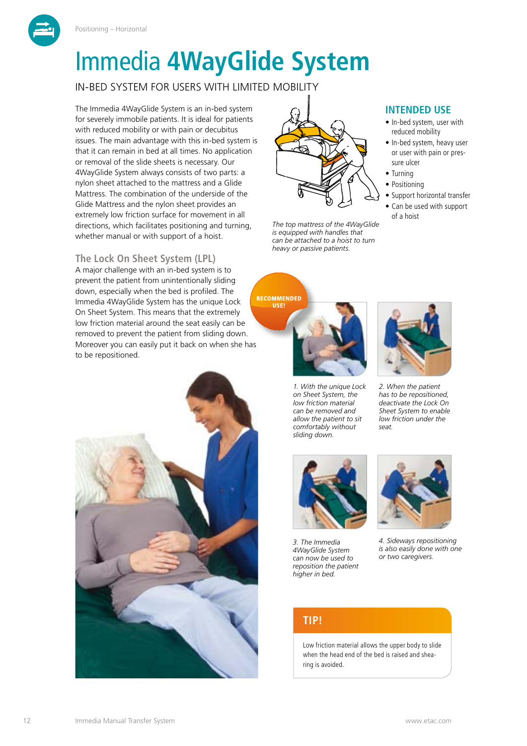



IN-BED SYSTEM FOR USERS WITH LIMITED MOBILITY

The Immedia 4WayGlide System is an in-bed system for severely immobile patients. It is ideal for patients with reduced mobility or with pain or decubitus issues. The main advantage with this in-bed system is that it can remain in bed at all times. No application or removal of the slide sheets is necessary. Our 4WayGlide System always consists of two parts: a nylon sheet attached to the mattress and a Glide Mattress. The combination of the underside of the Glide Mattress and the nylon sheet provides an extremely low friction surface for movement in all directions, which facilitates positioning and turning, whether manual or with support of a hoist.

## **The Lock On Sheet System (LPL)**

A major challenge with an in-bed system is to prevent the patient from unintentionally sliding down, especially when the bed is profiled. The Immedia 4WayGlide System has the unique Lock On Sheet System. This means that the extremely low friction material around the seat easily can be removed to prevent the patient from sliding down. Moreover you can easily put it back on when she has to be repositioned.





*The top mattress of the 4WayGlide is equipped with handles that can be attached to a hoist to turn heavy or passive patients.*

**RECOMMENDED** USE!



*1. With the unique Lock on Sheet System, the low friction material can be removed and allow the patient to sit comfortably without sliding down.*



**INTENDED USE** • In-bed system, user with reduced mobility • In-bed system, heavy user or user with pain or pres-

• Support horizontal transfer • Can be used with support

sure ulcer • Turning • Positioning

of a hoist

*2. When the patient has to be repositioned, deactivate the Lock On Sheet System to enable low friction under the seat.*



*3. The Immedia 4WayGlide System can now be used to reposition the patient higher in bed.*



*4. Sideways repositioning is also easily done with one or two caregivers.*

## **TIP!**

Low friction material allows the upper body to slide when the head end of the bed is raised and shearing is avoided.